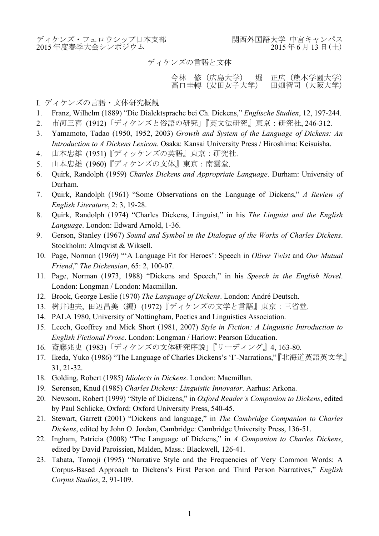## ディケンズの言語と文体

今林 修(広島大学) 堀 正広(熊本学園大学) 髙口圭轉(安田女子大学) 田畑智司(大阪大学)

- I. ディケンズの言語・文体研究概観
- 1. Franz, Wilhelm (1889) "Die Dialektsprache bei Ch. Dickens," *Englische Studien*, 12, 197-244.
- 2. 市河三喜 (1912)「ディケンズと俗語の研究」『英文法研究』東京:研究社, 246-312.
- 3. Yamamoto, Tadao (1950, 1952, 2003) *Growth and System of the Language of Dickens: An Introduction to A Dickens Lexicon*. Osaka: Kansai University Press / Hiroshima: Keisuisha.
- 4. 山本忠雄 (1951)『ディッケンズの英語』東京:研究社.
- 5. 山本忠雄 (1960)『ディケンズの文体』東京:南雲堂.
- 6. Quirk, Randolph (1959) *Charles Dickens and Appropriate Language*. Durham: University of Durham.
- 7. Quirk, Randolph (1961) "Some Observations on the Language of Dickens," *A Review of English Literature*, 2: 3, 19-28.
- 8. Quirk, Randolph (1974) "Charles Dickens, Linguist," in his *The Linguist and the English Language*. London: Edward Arnold, 1-36.
- 9. Gerson, Stanley (1967) *Sound and Symbol in the Dialogue of the Works of Charles Dickens*. Stockholm: Almqvist & Wiksell.
- 10. Page, Norman (1969) "'A Language Fit for Heroes': Speech in *Oliver Twist* and *Our Mutual Friend*," *The Dickensian*, 65: 2, 100-07.
- 11. Page, Norman (1973, 1988) "Dickens and Speech," in his *Speech in the English Novel*. London: Longman / London: Macmillan.
- 12. Brook, George Leslie (1970) *The Language of Dickens*. London: André Deutsch.
- 13. 桝井迪夫, 田辺昌美(編)(1972)『ディケンズの文学と言語』東京:三省堂.
- 14. PALA 1980, University of Nottingham, Poetics and Linguistics Association.
- 15. Leech, Geoffrey and Mick Short (1981, 2007) *Style in Fiction: A Linguistic Introduction to English Fictional Prose*. London: Longman / Harlow: Pearson Education.
- 16. 斎藤兆史 (1983)「ディケンズの文体研究序説」『リーディング』4, 163-80.
- 17. Ikeda, Yuko (1986) "The Language of Charles Dickens's 'I'-Narrations,"『北海道英語英文学』 31, 21-32.
- 18. Golding, Robert (1985) *Idiolects in Dickens*. London: Macmillan.
- 19. Sørensen, Knud (1985) *Charles Dickens: Linguistic Innovator*. Aarhus: Arkona.
- 20. Newsom, Robert (1999) "Style of Dickens," in *Oxford Reader's Companion to Dickens*, edited by Paul Schlicke, Oxford: Oxford University Press, 540-45.
- 21. Stewart, Garrett (2001) "Dickens and language," in *The Cambridge Companion to Charles Dickens*, edited by John O. Jordan, Cambridge: Cambridge University Press, 136-51.
- 22. Ingham, Patricia (2008) "The Language of Dickens," in *A Companion to Charles Dickens*, edited by David Paroissien, Malden, Mass.: Blackwell, 126-41.
- 23. Tabata, Tomoji (1995) "Narrative Style and the Frequencies of Very Common Words: A Corpus-Based Approach to Dickens's First Person and Third Person Narratives," *English Corpus Studies*, 2, 91-109.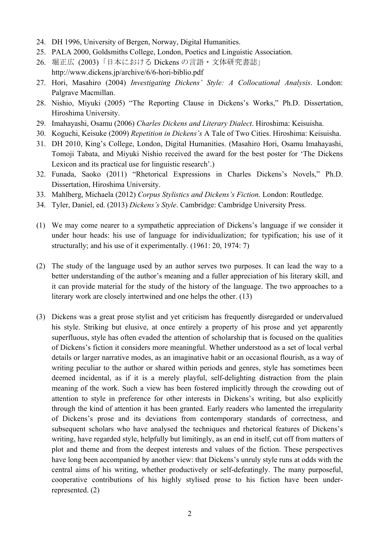- 24. DH 1996, University of Bergen, Norway, Digital Humanities.
- 25. PALA 2000, Goldsmiths College, London, Poetics and Linguistic Association.
- 26. 堀正広 (2003)「日本における Dickens の言語・文体研究書誌」
- http://www.dickens.jp/archive/6/6-hori-biblio.pdf
- 27. Hori, Masahiro (2004) *Investigating Dickens' Style: A Collocational Analysis*. London: Palgrave Macmillan.
- 28. Nishio, Miyuki (2005) "The Reporting Clause in Dickens's Works," Ph.D. Dissertation, Hiroshima University.
- 29. Imahayashi, Osamu (2006) *Charles Dickens and Literary Dialect*. Hiroshima: Keisuisha.
- 30. Koguchi, Keisuke (2009) *Repetition in Dickens's* A Tale of Two Cities. Hiroshima: Keisuisha.
- 31. DH 2010, King's College, London, Digital Humanities. (Masahiro Hori, Osamu Imahayashi, Tomoji Tabata, and Miyuki Nishio received the award for the best poster for 'The Dickens Lexicon and its practical use for linguistic research'.)
- 32. Funada, Saoko (2011) "Rhetorical Expressions in Charles Dickens's Novels," Ph.D. Dissertation, Hiroshima University.
- 33. Mahlberg, Michaela (2012) *Corpus Stylistics and Dickens's Fiction*. London: Routledge.
- 34. Tyler, Daniel, ed. (2013) *Dickens's Style*. Cambridge: Cambridge University Press.
- (1) We may come nearer to a sympathetic appreciation of Dickens's language if we consider it under hour heads: his use of language for individualization; for typification; his use of it structurally; and his use of it experimentally. (1961: 20, 1974: 7)
- (2) The study of the language used by an author serves two purposes. It can lead the way to a better understanding of the author's meaning and a fuller appreciation of his literary skill, and it can provide material for the study of the history of the language. The two approaches to a literary work are closely intertwined and one helps the other. (13)
- (3) Dickens was a great prose stylist and yet criticism has frequently disregarded or undervalued his style. Striking but elusive, at once entirely a property of his prose and yet apparently superfluous, style has often evaded the attention of scholarship that is focused on the qualities of Dickens's fiction it considers more meaningful. Whether understood as a set of local verbal details or larger narrative modes, as an imaginative habit or an occasional flourish, as a way of writing peculiar to the author or shared within periods and genres, style has sometimes been deemed incidental, as if it is a merely playful, self-delighting distraction from the plain meaning of the work. Such a view has been fostered implicitly through the crowding out of attention to style in preference for other interests in Dickens's writing, but also explicitly through the kind of attention it has been granted. Early readers who lamented the irregularity of Dickens's prose and its deviations from contemporary standards of correctness, and subsequent scholars who have analysed the techniques and rhetorical features of Dickens's writing, have regarded style, helpfully but limitingly, as an end in itself, cut off from matters of plot and theme and from the deepest interests and values of the fiction. These perspectives have long been accompanied by another view: that Dickens's unruly style runs at odds with the central aims of his writing, whether productively or self-defeatingly. The many purposeful, cooperative contributions of his highly stylised prose to his fiction have been underrepresented. (2)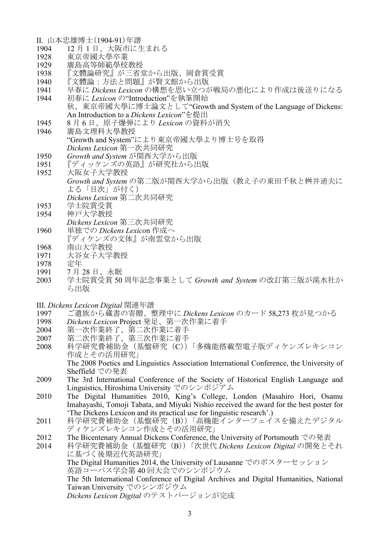- II. 山本忠雄博士(1904-91)年譜
- 1904 12 月 1 日、大阪市に生まれる
- 1928 東京帝國大學卒業
- 1929 廣島高等師範學校教授
- 1938 『文體論研究』が三省堂から出版、岡倉賞受賞
- 1940 『文體論:方法と問題』が賢文館から出版
- 1941 早春に *Dickens Lexicon* の構想を思い立つが戦局の悪化により作成は後送りになる 1944 初春に *Lexicon* の"Introduction"を執筆開始
- 秋、東京帝國大學に博士論文として"Growth and System of the Language of Dickens: An Introduction to a *Dickens Lexicon*"を提出
- 1945 8 月 6 日、原子爆弾により *Lexicon* の資料が消失
- 1946 廣島文理科大學教授 "Growth and System"により東京帝國大學より博士号を取得 *Dickens Lexicon* 第一次共同研究
- 1950 *Growth and System* が関西大学から出版
- 1951 『ディッケンズの英語』が研究社から出版
- 1952 大阪女子大学教授 *Growth and System* の第二版が関西大学から出版(教え子の東田千秋と桝井迪夫に よる「目次」が付く)
	- *Dickens Lexicon* 第二次共同研究
- 1953 学士院賞受賞<br>1954 神戸大学教授
- 1954 神戸大学教授
- *Dickens Lexicon* 第三次共同研究
- 1960 単独での *Dickens Lexico*n 作成へ 『ディケンズの文体』が南雲堂から出版
- 1968 南山大学教授
- 1971 大谷女子大学教授<br>1978 定年
- 1978
- 1991 7 月 28 日、永眠
- 2003 学士院賞受賞 50 周年記念事業として *Growth and System* の改訂第三版が溪水社か ら出版
- III. *Dickens Lexicon Digital* 関連年譜
- 1997 ご遺族から蔵書の寄贈、整理中に *Dickens Lexicon* のカード 58,273 枚が見つかる
- 1998 *Dickens Lexicon* Project 発足、第一次作業に着手
- 2004 第一次作業終了、第二次作業に着手
- 第二次作業終了、第三次作業に着手
- 2008 科学研究費補助金 (基盤研究 (C))「多機能搭載型電子版ディケンズレキシコン 作成とその活用研究」 The 2008 Poetics and Linguistics Association International Conference, the University of Sheffield での発表
- 2009 The 3rd International Conference of the Society of Historical English Language and Linguistics, Hiroshima University でのシンポジアム
- 2010 The Digital Humanities 2010, King's College, London (Masahiro Hori, Osamu Imahayashi, Tomoji Tabata, and Miyuki Nishio received the award for the best poster for 'The Dickens Lexicon and its practical use for linguistic research'.)
- 2011 科学研究費補助金 (基盤研究 (B))「高機能インターフェイスを備えたデジタル ディケンズレキシコン作成とその活用研究」
- 2012 The Bicentenary Annual Dickens Conference, the University of Portsmouth での発表
- 2014 科学研究費補助金(基盤研究(B))「次世代 *Dickens Lexicon Digital* の開発とそれ に基づく後期近代英語研究」

The Digital Humanities 2014, the University of Lausanne でのポスターセッション 英語コーパス学会第 40 回大会でのシンポジウム

The 5th International Conference of Digital Archives and Digital Humanities, National Taiwan University でのシンポジウム

*Dickens Lexicon Digital* のテストバージョンが完成